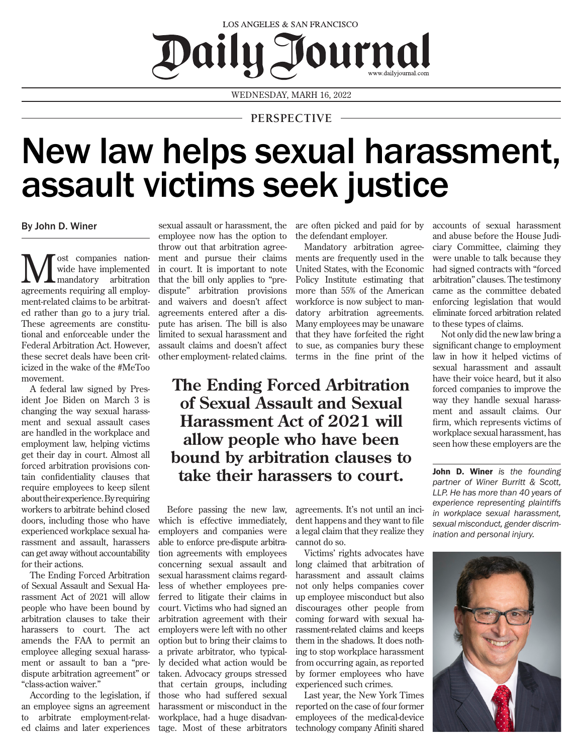## LOS ANGELES & SAN FRANCISCO Daily Journal

WEDNESDAY, MARH 16, 2022

## **PERSPECTIVE**

## New law helps sexual harassment, assault victims seek justice

By John D. Winer

**M** ost companies nation-<br>
mandatory arbitration<br>
acrossments negativing all amples wide have implemented agreements requiring all employment-related claims to be arbitrated rather than go to a jury trial. These agreements are constitutional and enforceable under the Federal Arbitration Act. However, these secret deals have been criticized in the wake of the #MeToo movement.

A federal law signed by President Joe Biden on March 3 is changing the way sexual harassment and sexual assault cases are handled in the workplace and employment law, helping victims get their day in court. Almost all forced arbitration provisions contain confidentiality clauses that require employees to keep silent about their experience. By requiring workers to arbitrate behind closed doors, including those who have experienced workplace sexual harassment and assault, harassers can get away without accountability for their actions.

The Ending Forced Arbitration of Sexual Assault and Sexual Harassment Act of 2021 will allow people who have been bound by arbitration clauses to take their harassers to court. The act amends the FAA to permit an employee alleging sexual harassment or assault to ban a "predispute arbitration agreement" or "class-action waiver."

According to the legislation, if an employee signs an agreement to arbitrate employment-related claims and later experiences

sexual assault or harassment, the employee now has the option to throw out that arbitration agreement and pursue their claims in court. It is important to note that the bill only applies to "predispute" arbitration provisions and waivers and doesn't affect agreements entered after a dispute has arisen. The bill is also limited to sexual harassment and assault claims and doesn't affect other employment- related claims. are often picked and paid for by the defendant employer.

Mandatory arbitration agreements are frequently used in the United States, with the Economic Policy Institute estimating that more than 55% of the American workforce is now subject to mandatory arbitration agreements. Many employees may be unaware that they have forfeited the right to sue, as companies bury these terms in the fine print of the

## **The Ending Forced Arbitration of Sexual Assault and Sexual Harassment Act of 2021 will allow people who have been bound by arbitration clauses to take their harassers to court.**

Before passing the new law, which is effective immediately, employers and companies were able to enforce pre-dispute arbitration agreements with employees concerning sexual assault and sexual harassment claims regardless of whether employees preferred to litigate their claims in court. Victims who had signed an arbitration agreement with their employers were left with no other option but to bring their claims to a private arbitrator, who typically decided what action would be taken. Advocacy groups stressed that certain groups, including those who had suffered sexual harassment or misconduct in the workplace, had a huge disadvantage. Most of these arbitrators

agreements. It's not until an incident happens and they want to file a legal claim that they realize they cannot do so.

Victims' rights advocates have long claimed that arbitration of harassment and assault claims not only helps companies cover up employee misconduct but also discourages other people from coming forward with sexual harassment-related claims and keeps them in the shadows. It does nothing to stop workplace harassment from occurring again, as reported by former employees who have experienced such crimes.

Last year, the New York Times reported on the case of four former employees of the medical-device technology company Afiniti shared

accounts of sexual harassment and abuse before the House Judiciary Committee, claiming they were unable to talk because they had signed contracts with "forced arbitration" clauses. The testimony came as the committee debated enforcing legislation that would eliminate forced arbitration related to these types of claims.

Not only did the new law bring a significant change to employment law in how it helped victims of sexual harassment and assault have their voice heard, but it also forced companies to improve the way they handle sexual harassment and assault claims. Our firm, which represents victims of workplace sexual harassment, has seen how these employers are the

John D. Winer *is the founding partner of Winer Burritt & Scott, LLP. He has more than 40 years of experience representing plaintiffs in workplace sexual harassment, sexual misconduct, gender discrimination and personal injury.*